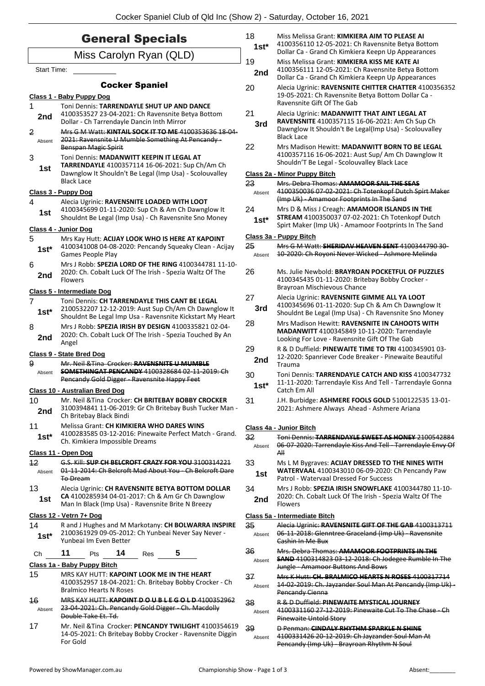|                    | <b>General Specials</b>                                                                                                                                   | 18<br>$1st*$ | Miss Melissa Grant: KIMKIERA AIM TO PLEASE AI<br>4100356110 12-05-2021: Ch Ravensnite Betya Bottom                                                                                                      |
|--------------------|-----------------------------------------------------------------------------------------------------------------------------------------------------------|--------------|---------------------------------------------------------------------------------------------------------------------------------------------------------------------------------------------------------|
|                    | Miss Carolyn Ryan (QLD)                                                                                                                                   | 19           | Dollar Ca - Grand Ch Kimkiera Keepn Up Appearances<br>Miss Melissa Grant: KIMKIERA KISS ME KATE AI                                                                                                      |
| <b>Start Time:</b> |                                                                                                                                                           | 2nd          | 4100356111 12-05-2021: Ch Ravensnite Betya Bottom<br>Dollar Ca - Grand Ch Kimkiera Keepn Up Appearances                                                                                                 |
|                    | <b>Cocker Spaniel</b>                                                                                                                                     | 20           | Alecia Ugrinic: RAVENSNITE CHITTER CHATTER 4100356352                                                                                                                                                   |
| 1                  | Class 1 - Baby Puppy Dog<br>Toni Dennis: TARRENDAYLE SHUT UP AND DANCE                                                                                    |              | 19-05-2021: Ch Ravensnite Betya Bottom Dollar Ca -<br>Ravensnite Gift Of The Gab                                                                                                                        |
| 2nd<br>2           | 4100353527 23-04-2021: Ch Ravensnite Betya Bottom<br>Dollar - Ch Tarrendayle Dancin Inth Mirror<br>Mrs G M Watt: KINTAIL SOCK IT TO ME 4100353636 18 04   | 21<br>3rd    | Alecia Ugrinic: MADANWITT THAT AINT LEGAL AT<br>RAVENSNITE 4100357115 16-06-2021: Am Ch Sup Ch<br>Dawnglow It Shouldn't Be Legal(Imp Usa) - Scolouvalley<br><b>Black Lace</b>                           |
| Absent<br>3        | 2021: Ravensnite U Mumble Something At Pencandy-<br>Benspan Magic Spirit<br>Toni Dennis: MADANWITT KEEPIN IT LEGAL AT                                     | 22           | Mrs Madison Hewitt: MADANWITT BORN TO BE LEGAL<br>4100357116 16-06-2021: Aust Sup/ Am Ch Dawnglow It                                                                                                    |
| 1st                | TARRENDAYLE 4100357114 16-06-2021: Sup Ch/Am Ch<br>Dawnglow It Shouldn't Be Legal (Imp Usa) - Scolouvalley                                                |              | Shouldn'T Be Legal - Scolouvalley Black Lace<br>Class 2a - Minor Puppy Bitch                                                                                                                            |
|                    | <b>Black Lace</b>                                                                                                                                         | 23           | Mrs. Debra Thomas: AMAMOOR SAIL THE SEAS                                                                                                                                                                |
|                    | Class 3 - Puppy Dog                                                                                                                                       | Absent       | 4100350036 07-02-2021: Ch Totenkopf Dutch Spirt Maker                                                                                                                                                   |
| 4<br>1st           | Alecia Ugrinic: RAVENSNITE LOADED WITH LOOT<br>4100345699 01-11-2020: Sup Ch & Am Ch Dawnglow It<br>Shouldnt Be Legal (Imp Usa) - Ch Ravensnite Sno Money | 24<br>$1st*$ | (Imp Uk) - Amamoor Footprints In The Sand<br>Mrs D & Miss J Creagh: AMAMOOR ISLANDS IN THE<br>STREAM 4100350037 07-02-2021: Ch Totenkopf Dutch<br>Spirt Maker (Imp Uk) - Amamoor Footprints In The Sand |
|                    | Class 4 - Junior Dog                                                                                                                                      |              | Class 3a - Puppy Bitch                                                                                                                                                                                  |
| 5                  | Mrs Kay Hutt: ACIJAY LOOK WHO IS HERE AT KAPOINT<br>4100341008 04-08-2020: Pencandy Squeaky Clean - Acijay                                                | 25           | Mrs G M Watt: SHERIDAV HEAVEN SENT 4100344790 30-                                                                                                                                                       |
| $1st*$             | Games People Play                                                                                                                                         | Absent       | 10-2020: Ch Royoni Never Wicked - Ashmore Melinda                                                                                                                                                       |
| 6<br>2nd           | Mrs J Robb: SPEZIA LORD OF THE RING 4100344781 11-10-<br>2020: Ch. Cobalt Luck Of The Irish - Spezia Waltz Of The<br><b>Flowers</b>                       | 26           | Ms. Julie Newbold: BRAYROAN POCKETFUL OF PUZZLES<br>4100345435 01-11-2020: Britebay Bobby Crocker -<br>Brayroan Mischievous Chance                                                                      |
| 7                  | Class 5 - Intermediate Dog<br>Toni Dennis: CH TARRENDAYLE THIS CANT BE LEGAL                                                                              | 27           | Alecia Ugrinic: RAVENSNITE GIMME ALL YA LOOT                                                                                                                                                            |
| $1st*$             | 2100532207 12-12-2019: Aust Sup Ch/Am Ch Dawnglow It<br>Shouldnt Be Legal Imp Usa - Ravensnite Kickstart My Heart                                         | 3rd          | 4100345696 01-11-2020: Sup Ch & Am Ch Dawnglow It<br>Shouldnt Be Legal (Imp Usa) - Ch Ravensnite Sno Money                                                                                              |
| 8<br>2nd           | Mrs J Robb: SPEZIA IRISH BY DESIGN 4100335821 02-04-<br>2020: Ch. Cobalt Luck Of The Irish - Spezia Touched By An<br>Angel                                | 28           | Mrs Madison Hewitt: RAVENSNITE IN CAHOOTS WITH<br>MADANWITT 4100345849 10-11-2020: Tarrendayle<br>Looking For Love - Ravensnite Gift Of The Gab                                                         |
| 9                  | Class 9 - State Bred Dog<br>Mr. Neil & Tina Crocker: RAVENSNITE U MUMBLE                                                                                  | 29<br>2nd    | R & D Duffield: PINEWAITE TIME TO TRI 4100345901 03-<br>12-2020: Spanriever Code Breaker - Pinewaite Beautiful<br>Trauma                                                                                |
| Absent             | <b>SOMETHINGAT PENCANDY 4100328684 02 11 2019: Ch</b><br><b>Pencandy Gold Digger - Ravensnite Happy Feet</b><br>Class 10 - Australian Bred Dog            | 30<br>$1st*$ | Toni Dennis: TARRENDAYLE CATCH AND KISS 4100347732<br>11-11-2020: Tarrendayle Kiss And Tell - Tarrendayle Gonna<br>Catch Em All                                                                         |
| 10<br>2nd          | Mr. Neil & Tina Crocker: CH BRITEBAY BOBBY CROCKER<br>3100394841 11-06-2019: Gr Ch Britebay Bush Tucker Man -<br>Ch Britebay Black Bindi                  | 31           | J.H. Burbidge: ASHMERE FOOLS GOLD 5100122535 13-01-<br>2021: Ashmere Always Ahead - Ashmere Ariana                                                                                                      |
| 11<br>$1st*$       | <b>Melissa Grant: CH KIMKIERA WHO DARES WINS</b><br>4100283585 03-12-2016: Pinewaite Perfect Match - Grand.                                               | 32           | Class 4a - Junior Bitch<br>Toni Dennis: TARRENDAYLE SWEET AS HONEY 2100542884                                                                                                                           |
|                    | Ch. Kimkiera Impossible Dreams<br>Class 11 - Open Dog                                                                                                     | Absent       | 06 07 2020: Tarrendayle Kiss And Tell Tarrendayle Envy Of<br>A⊪                                                                                                                                         |
| $12 \overline{ }$  | G.S. Kill: SUP CH BELCROFT CRAZY FOR YOU 3100314221                                                                                                       | 33           | Ms L M Bygraves: ACIJAY DRESSED TO THE NINES WITH                                                                                                                                                       |
| Absent             | 01-11-2014: Ch Belcroft Mad About You - Ch Belcroft Dare<br><b>To Dream</b>                                                                               | 1st          | WATERVAAL 4100343010 06-09-2020: Ch Pencandy Paw<br>Patrol - Watervaal Dressed For Success                                                                                                              |
| 13                 | Alecia Ugrinic: CH RAVENSNITE BETYA BOTTOM DOLLAR                                                                                                         | 34           | Mrs J Robb: SPEZIA IRISH SNOWFLAKE 4100344780 11-10-                                                                                                                                                    |
| 1st                | CA 4100285934 04-01-2017: Ch & Am Gr Ch Dawnglow<br>Man In Black (Imp Usa) - Ravensnite Brite N Breezy                                                    | 2nd          | 2020: Ch. Cobalt Luck Of The Irish - Spezia Waltz Of The<br><b>Flowers</b>                                                                                                                              |
|                    | Class 12 - Vetrn 7+ Dog                                                                                                                                   |              | Class 5a - Intermediate Bitch                                                                                                                                                                           |
| 14<br>$1st^*$      | R and J Hughes and M Markotany: CH BOLWARRA INSPIRE<br>2100361929 09-05-2012: Ch Yunbeai Never Say Never -<br>Yunbeai Im Even Better                      | 35<br>Absent | Alecia Ugrinic: RAVENSNITE GIFT OF THE GAB 4100313711<br>06 11 2018: Glenntree Graceland (Imp Uk) Ravensnite<br>Cashin In Me Bux                                                                        |
| Ch                 | 11<br>14<br>5<br>Pts<br>Res                                                                                                                               | 36           | Mrs. Debra Thomas: AMAMOOR FOOTPRINTS IN THE<br><b>SAND 4100314823 03-12-2018: Ch Jodegee Rumble In The</b>                                                                                             |
|                    | Class 1a - Baby Puppy Bitch                                                                                                                               | Absent       | Jungle - Amamoor Buttons And Bows                                                                                                                                                                       |
| 15                 | MRS KAY HUTT: KAPOINT LOOK ME IN THE HEART<br>4100352957 18-04-2021: Ch. Britebay Bobby Crocker - Ch<br><b>Bralmico Hearts N Roses</b>                    | 37<br>Absent | Mrs K Hutt: CH. BRALMICO HEARTS N ROSES 4100317714<br>14-02-2019: Ch. Jayzander Soul Man At Pencandy (Imp Uk) -<br>Pencandy Cienna                                                                      |
| 46<br>Absent       | MRS KAY HUTT: KAPOINT DOUBLEGOLD 4100352962<br>23-04-2021: Ch. Pencandy Gold Digger - Ch. Macdolly<br>Double Take Et. Td.                                 | 38<br>Absent | R & D Duffield: PINEWAITE MYSTICAL JOURNEY<br>4100331160 27-12-2019: Pinewaite Cut To The Chase - Ch<br>Pinewaite Untold Story                                                                          |
| 17                 | Mr. Neil & Tina Crocker: PENCANDY TWILIGHT 4100354619<br>14-05-2021: Ch Britebay Bobby Crocker - Ravensnite Diggin<br>For Gold                            | 39<br>Absent | D Penman: CINDALY RHYTHM SPARKLE N SHINE<br>4100331426 20 12 2019: Ch Jayzander Soul Man At<br>Pencandy (Imp Uk) - Brayroan Rhythm N Soul                                                               |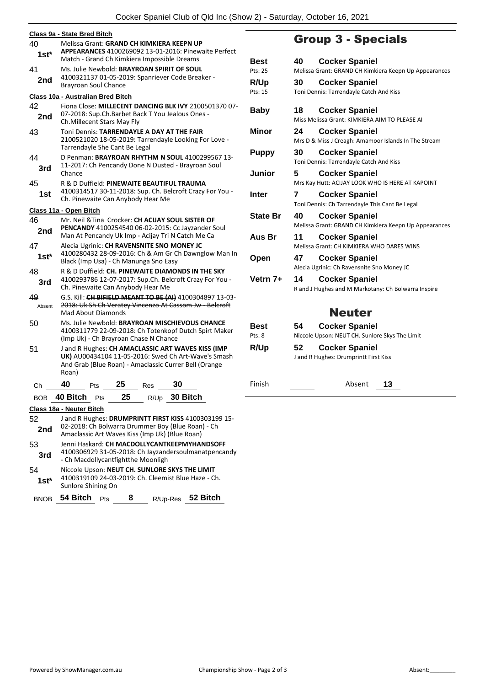| 40         | Class 9a - State Bred Bitch<br>Melissa Grant: GRAND CH KIMKIERA KEEPN UP                               |    |  |  |
|------------|--------------------------------------------------------------------------------------------------------|----|--|--|
| 1st*       | APPEARANCES 4100269092 13-01-2016: Pinewaite Perfect                                                   |    |  |  |
|            | Match - Grand Ch Kimkiera Impossible Dreams                                                            | Е  |  |  |
| 41         | Ms. Julie Newbold: BRAYROAN SPIRIT OF SOUL                                                             | P  |  |  |
| 2nd        | 4100321137 01-05-2019: Spanriever Code Breaker -                                                       | Б  |  |  |
|            | <b>Brayroan Soul Chance</b>                                                                            | P  |  |  |
|            | Class 10a - Australian Bred Bitch                                                                      |    |  |  |
| 42         | Fiona Close: MILLECENT DANCING BLK IVY 2100501370 07-                                                  | Е  |  |  |
| 2nd        | 07-2018: Sup.Ch.Barbet Back T You Jealous Ones -<br>Ch. Millecent Stars May Fly                        |    |  |  |
| 43         | Toni Dennis: TARRENDAYLE A DAY AT THE FAIR                                                             | N  |  |  |
|            | 2100521020 18-05-2019: Tarrendayle Looking For Love -<br>Tarrendayle She Cant Be Legal                 |    |  |  |
| 44         | D Penman: BRAYROAN RHYTHM N SOUL 4100299567 13-                                                        | F  |  |  |
|            | 11-2017: Ch Pencandy Done N Dusted - Brayroan Soul                                                     |    |  |  |
| 3rd        | Chance                                                                                                 |    |  |  |
| 45         | R & D Duffield: PINEWAITE BEAUTIFUL TRAUMA                                                             |    |  |  |
| 1st        | 4100314517 30-11-2018: Sup. Ch. Belcroft Crazy For You -                                               | Iı |  |  |
|            | Ch. Pinewaite Can Anybody Hear Me                                                                      |    |  |  |
|            | Class 11a - Open Bitch                                                                                 | S  |  |  |
| 46         | Mr. Neil & Tina Crocker: CH ACIJAY SOUL SISTER OF                                                      |    |  |  |
| 2nd        | PENCANDY 4100254540 06-02-2015: Cc Jayzander Soul<br>Man At Pencandy Uk Imp - Acijay Tri N Catch Me Ca |    |  |  |
| 47         | Alecia Ugrinic: CH RAVENSNITE SNO MONEY JC                                                             | ŀ  |  |  |
|            | 4100280432 28-09-2016: Ch & Am Gr Ch Dawnglow Man In                                                   |    |  |  |
| 1st*       | Black (Imp Usa) - Ch Manunga Sno Easy                                                                  | C  |  |  |
| 48         | R & D Duffield: CH. PINEWAITE DIAMONDS IN THE SKY                                                      |    |  |  |
| 3rd        | 4100293786 12-07-2017: Sup.Ch. Belcroft Crazy For You -<br>ν                                           |    |  |  |
|            | Ch. Pinewaite Can Anybody Hear Me                                                                      |    |  |  |
| 49         | G.S. Kill: CH BIFIELD MEANT TO BE (AI) 4100304897 13-03-                                               |    |  |  |
| Absent     | 2018: Uk Sh Ch Veratey Vincenzo At Cassom Jw - Belcroft                                                |    |  |  |
| 50         | <b>Mad About Diamonds</b><br>Ms. Julie Newbold: BRAYROAN MISCHIEVOUS CHANCE                            |    |  |  |
|            | 4100311779 22-09-2018: Ch Totenkopf Dutch Spirt Maker                                                  | Е  |  |  |
|            | (Imp Uk) - Ch Brayroan Chase N Chance                                                                  | P  |  |  |
| 51         | F<br>J and R Hughes: CH AMACLASSIC ART WAVES KISS (IMP                                                 |    |  |  |
|            | UK) AU00434104 11-05-2016: Swed Ch Art-Wave's Smash                                                    |    |  |  |
|            | And Grab (Blue Roan) - Amaclassic Currer Bell (Orange<br>Roan)                                         |    |  |  |
|            |                                                                                                        |    |  |  |
| Сh         | 40<br>25<br>30<br>Pts<br>Res                                                                           | F  |  |  |
| <b>BOB</b> | 40 Bitch<br>30 Bitch<br>25<br>R/Up<br>Pts                                                              |    |  |  |
|            | Class 18a - Neuter Bitch                                                                               |    |  |  |
| 52         | J and R Hughes: DRUMPRINTT FIRST KISS 4100303199 15-                                                   |    |  |  |
| 2nd        | 02-2018: Ch Bolwarra Drummer Boy (Blue Roan) - Ch                                                      |    |  |  |
|            | Amaclassic Art Waves Kiss (Imp Uk) (Blue Roan)                                                         |    |  |  |
| 53         | Jenni Haskard: CH MACDOLLYCANTKEEPMYHANDSOFF<br>4100306929 31-05-2018: Ch Jayzandersoulmanatpencandy   |    |  |  |
| 3rd        | - Ch Macdollycantfightthe Moonligh                                                                     |    |  |  |
| 54         | Niccole Upson: NEUT CH. SUNLORE SKYS THE LIMIT                                                         |    |  |  |

4100319109 24-03-2019: Ch. Cleemist Blue Haze - Ch. **1st\*** 4100319109 24-03-<br>Sunlore Shining On

|  |  | BNOB 54 Bitch Pts |  |  |  | R/Up-Res 52 Bitch |
|--|--|-------------------|--|--|--|-------------------|
|--|--|-------------------|--|--|--|-------------------|

## Group 3 - Specials

| Best            | <b>Cocker Spaniel</b><br>40                           |  |  |  |
|-----------------|-------------------------------------------------------|--|--|--|
| Pts: 25         | Melissa Grant: GRAND CH Kimkiera Keepn Up Appearances |  |  |  |
| R/Up            | <b>Cocker Spaniel</b><br>30                           |  |  |  |
| Pts: 15         | Toni Dennis: Tarrendayle Catch And Kiss               |  |  |  |
|                 |                                                       |  |  |  |
| <b>Baby</b>     | <b>Cocker Spaniel</b><br>18                           |  |  |  |
|                 | Miss Melissa Grant: KIMKIERA AIM TO PLEASE AI         |  |  |  |
| <b>Minor</b>    | <b>Cocker Spaniel</b><br>24                           |  |  |  |
|                 | Mrs D & Miss J Creagh: Amamoor Islands In The Stream  |  |  |  |
| <b>Puppy</b>    | 30<br><b>Cocker Spaniel</b>                           |  |  |  |
|                 | Toni Dennis: Tarrendayle Catch And Kiss               |  |  |  |
| Junior          | 5<br><b>Cocker Spaniel</b>                            |  |  |  |
|                 | Mrs Kay Hutt: ACIJAY LOOK WHO IS HERE AT KAPOINT      |  |  |  |
| Inter           | 7<br><b>Cocker Spaniel</b>                            |  |  |  |
|                 | Toni Dennis: Ch Tarrendayle This Cant Be Legal        |  |  |  |
| <b>State Br</b> | 40<br><b>Cocker Spaniel</b>                           |  |  |  |
|                 | Melissa Grant: GRAND CH Kimkiera Keepn Up Appearances |  |  |  |
| Aus Br          | <b>Cocker Spaniel</b><br>11                           |  |  |  |
|                 | Melissa Grant: CH KIMKIERA WHO DARES WINS             |  |  |  |
| Open            | 47<br><b>Cocker Spaniel</b>                           |  |  |  |
|                 | Alecia Ugrinic: Ch Ravensnite Sno Money JC            |  |  |  |
| Vetrn 7+        | 14<br><b>Cocker Spaniel</b>                           |  |  |  |
|                 | R and J Hughes and M Markotany: Ch Bolwarra Inspire   |  |  |  |
| <b>Neuter</b>   |                                                       |  |  |  |
|                 |                                                       |  |  |  |
| Best            | <b>Cocker Spaniel</b><br>54                           |  |  |  |
| Pts: 8          | Niccole Upson: NEUT CH. Sunlore Skys The Limit        |  |  |  |
| R/Up            | <b>Cocker Spaniel</b><br>52                           |  |  |  |
|                 | J and R Hughes: Drumprintt First Kiss                 |  |  |  |
|                 |                                                       |  |  |  |

Finish Absent 13